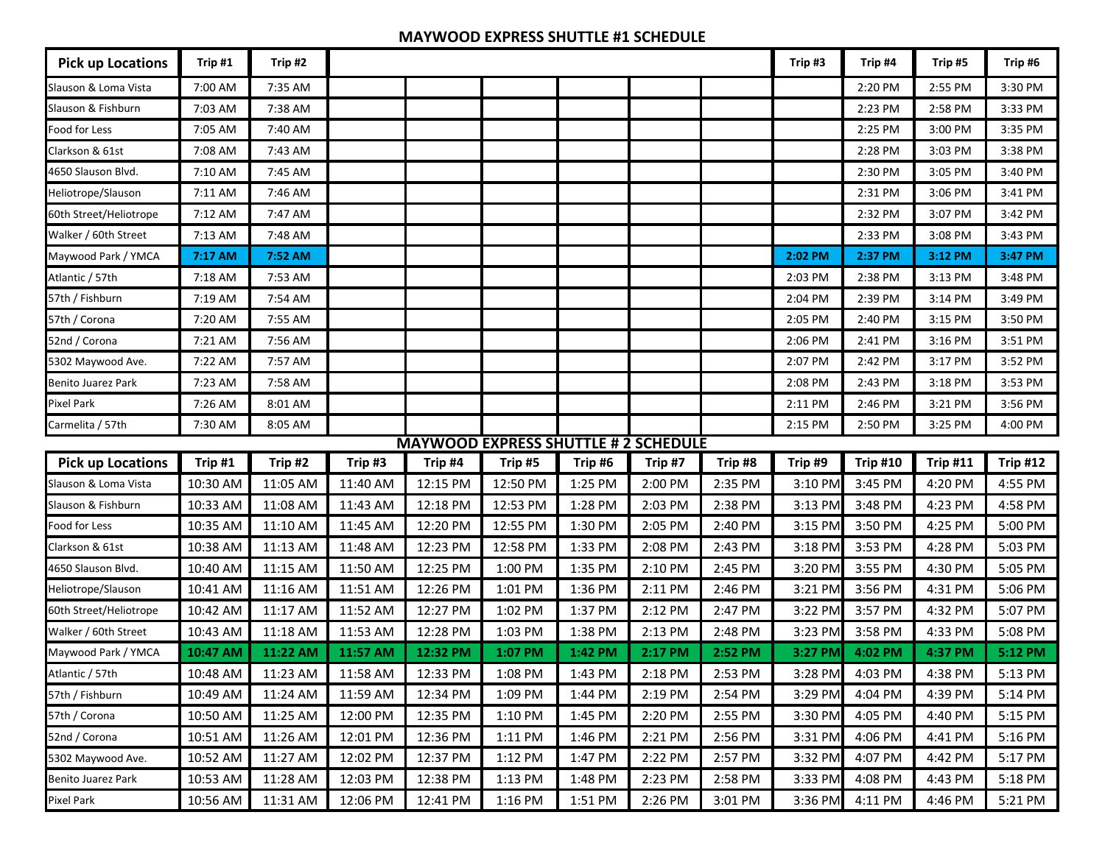## **MAYWOOD EXPRESS SHUTTLE #1 SCHEDULE**

| <b>Pick up Locations</b>  | Trip #1  | Trip #2  |          |          |                                             |         |         |         | Trip #3 | Trip #4         | Trip #5         | Trip #6         |
|---------------------------|----------|----------|----------|----------|---------------------------------------------|---------|---------|---------|---------|-----------------|-----------------|-----------------|
| Slauson & Loma Vista      | 7:00 AM  | 7:35 AM  |          |          |                                             |         |         |         |         | 2:20 PM         | 2:55 PM         | 3:30 PM         |
| Slauson & Fishburn        | 7:03 AM  | 7:38 AM  |          |          |                                             |         |         |         |         | 2:23 PM         | 2:58 PM         | 3:33 PM         |
| Food for Less             | 7:05 AM  | 7:40 AM  |          |          |                                             |         |         |         |         | 2:25 PM         | 3:00 PM         | 3:35 PM         |
| Clarkson & 61st           | 7:08 AM  | 7:43 AM  |          |          |                                             |         |         |         |         | 2:28 PM         | 3:03 PM         | 3:38 PM         |
| 4650 Slauson Blvd.        | 7:10 AM  | 7:45 AM  |          |          |                                             |         |         |         |         | 2:30 PM         | 3:05 PM         | 3:40 PM         |
| Heliotrope/Slauson        | 7:11 AM  | 7:46 AM  |          |          |                                             |         |         |         |         | 2:31 PM         | 3:06 PM         | 3:41 PM         |
| 60th Street/Heliotrope    | 7:12 AM  | 7:47 AM  |          |          |                                             |         |         |         |         | 2:32 PM         | 3:07 PM         | 3:42 PM         |
| Walker / 60th Street      | 7:13 AM  | 7:48 AM  |          |          |                                             |         |         |         |         | 2:33 PM         | 3:08 PM         | 3:43 PM         |
| Maywood Park / YMCA       | 7:17 AM  | 7:52 AM  |          |          |                                             |         |         |         | 2:02 PM | 2:37 PM         | 3:12 PM         | 3:47 PM         |
| Atlantic / 57th           | 7:18 AM  | 7:53 AM  |          |          |                                             |         |         |         | 2:03 PM | 2:38 PM         | 3:13 PM         | 3:48 PM         |
| 57th / Fishburn           | 7:19 AM  | 7:54 AM  |          |          |                                             |         |         |         | 2:04 PM | 2:39 PM         | 3:14 PM         | 3:49 PM         |
| 57th / Corona             | 7:20 AM  | 7:55 AM  |          |          |                                             |         |         |         | 2:05 PM | 2:40 PM         | 3:15 PM         | 3:50 PM         |
| 52nd / Corona             | 7:21 AM  | 7:56 AM  |          |          |                                             |         |         |         | 2:06 PM | 2:41 PM         | 3:16 PM         | 3:51 PM         |
| 5302 Maywood Ave.         | 7:22 AM  | 7:57 AM  |          |          |                                             |         |         |         | 2:07 PM | 2:42 PM         | 3:17 PM         | 3:52 PM         |
| Benito Juarez Park        | 7:23 AM  | 7:58 AM  |          |          |                                             |         |         |         | 2:08 PM | 2:43 PM         | 3:18 PM         | 3:53 PM         |
| <b>Pixel Park</b>         | 7:26 AM  | 8:01 AM  |          |          |                                             |         |         |         | 2:11 PM | 2:46 PM         | 3:21 PM         | 3:56 PM         |
| Carmelita / 57th          | 7:30 AM  | 8:05 AM  |          |          |                                             |         |         |         | 2:15 PM | 2:50 PM         | 3:25 PM         | 4:00 PM         |
|                           |          |          |          |          | <b>MAYWOOD EXPRESS SHUTTLE # 2 SCHEDULE</b> |         |         |         |         |                 |                 |                 |
| <b>Pick up Locations</b>  | Trip #1  | Trip #2  | Trip #3  | Trip #4  | Trip #5                                     | Trip #6 | Trip #7 | Trip #8 | Trip #9 | <b>Trip #10</b> | <b>Trip #11</b> | <b>Trip #12</b> |
| Slauson & Loma Vista      | 10:30 AM | 11:05 AM | 11:40 AM | 12:15 PM | 12:50 PM                                    | 1:25 PM | 2:00 PM | 2:35 PM | 3:10 PM | 3:45 PM         | 4:20 PM         | 4:55 PM         |
| Slauson & Fishburn        | 10:33 AM | 11:08 AM | 11:43 AM | 12:18 PM | 12:53 PM                                    | 1:28 PM | 2:03 PM | 2:38 PM | 3:13 PM | 3:48 PM         | 4:23 PM         | 4:58 PM         |
| Food for Less             | 10:35 AM | 11:10 AM | 11:45 AM | 12:20 PM | 12:55 PM                                    | 1:30 PM | 2:05 PM | 2:40 PM | 3:15 PM | 3:50 PM         | 4:25 PM         | 5:00 PM         |
| Clarkson & 61st           | 10:38 AM | 11:13 AM | 11:48 AM | 12:23 PM | 12:58 PM                                    | 1:33 PM | 2:08 PM | 2:43 PM | 3:18 PM | 3:53 PM         | 4:28 PM         | 5:03 PM         |
| 4650 Slauson Blvd.        | 10:40 AM | 11:15 AM | 11:50 AM | 12:25 PM | 1:00 PM                                     | 1:35 PM | 2:10 PM | 2:45 PM | 3:20 PM | 3:55 PM         | 4:30 PM         | 5:05 PM         |
| Heliotrope/Slauson        | 10:41 AM | 11:16 AM | 11:51 AM | 12:26 PM | 1:01 PM                                     | 1:36 PM | 2:11 PM | 2:46 PM | 3:21 PM | 3:56 PM         | 4:31 PM         | 5:06 PM         |
| 60th Street/Heliotrope    | 10:42 AM | 11:17 AM | 11:52 AM | 12:27 PM | 1:02 PM                                     | 1:37 PM | 2:12 PM | 2:47 PM | 3:22 PM | 3:57 PM         | 4:32 PM         | 5:07 PM         |
| Walker / 60th Street      | 10:43 AM | 11:18 AM | 11:53 AM | 12:28 PM | 1:03 PM                                     | 1:38 PM | 2:13 PM | 2:48 PM | 3:23 PM | 3:58 PM         | 4:33 PM         | 5:08 PM         |
| Maywood Park / YMCA       | 10:47 AM | 11:22 AM | 11:57 AM | 12:32 PM | 1:07 PM                                     | 1:42 PM | 2:17 PM | 2:52 PM | 3:27 PM | 4:02 PM         | 4:37 PM         | 5:12 PM         |
| Atlantic / 57th           | 10:48 AM | 11:23 AM | 11:58 AM | 12:33 PM | 1:08 PM                                     | 1:43 PM | 2:18 PM | 2:53 PM | 3:28 PM | 4:03 PM         | 4:38 PM         | 5:13 PM         |
| 57th / Fishburn           | 10:49 AM | 11:24 AM | 11:59 AM | 12:34 PM | 1:09 PM                                     | 1:44 PM | 2:19 PM | 2:54 PM | 3:29 PM | 4:04 PM         | 4:39 PM         | 5:14 PM         |
| 57th / Corona             | 10:50 AM | 11:25 AM | 12:00 PM | 12:35 PM | 1:10 PM                                     | 1:45 PM | 2:20 PM | 2:55 PM | 3:30 PM | 4:05 PM         | 4:40 PM         | 5:15 PM         |
| 52nd / Corona             | 10:51 AM | 11:26 AM | 12:01 PM | 12:36 PM | 1:11 PM                                     | 1:46 PM | 2:21 PM | 2:56 PM | 3:31 PM | 4:06 PM         | 4:41 PM         | 5:16 PM         |
| 5302 Maywood Ave.         | 10:52 AM | 11:27 AM | 12:02 PM | 12:37 PM | 1:12 PM                                     | 1:47 PM | 2:22 PM | 2:57 PM | 3:32 PM | 4:07 PM         | 4:42 PM         | 5:17 PM         |
| <b>Benito Juarez Park</b> | 10:53 AM | 11:28 AM | 12:03 PM | 12:38 PM | 1:13 PM                                     | 1:48 PM | 2:23 PM | 2:58 PM | 3:33 PM | 4:08 PM         | 4:43 PM         | 5:18 PM         |
| Pixel Park                | 10:56 AM | 11:31 AM | 12:06 PM | 12:41 PM | 1:16 PM                                     | 1:51 PM | 2:26 PM | 3:01 PM | 3:36 PM | 4:11 PM         | 4:46 PM         | 5:21 PM         |